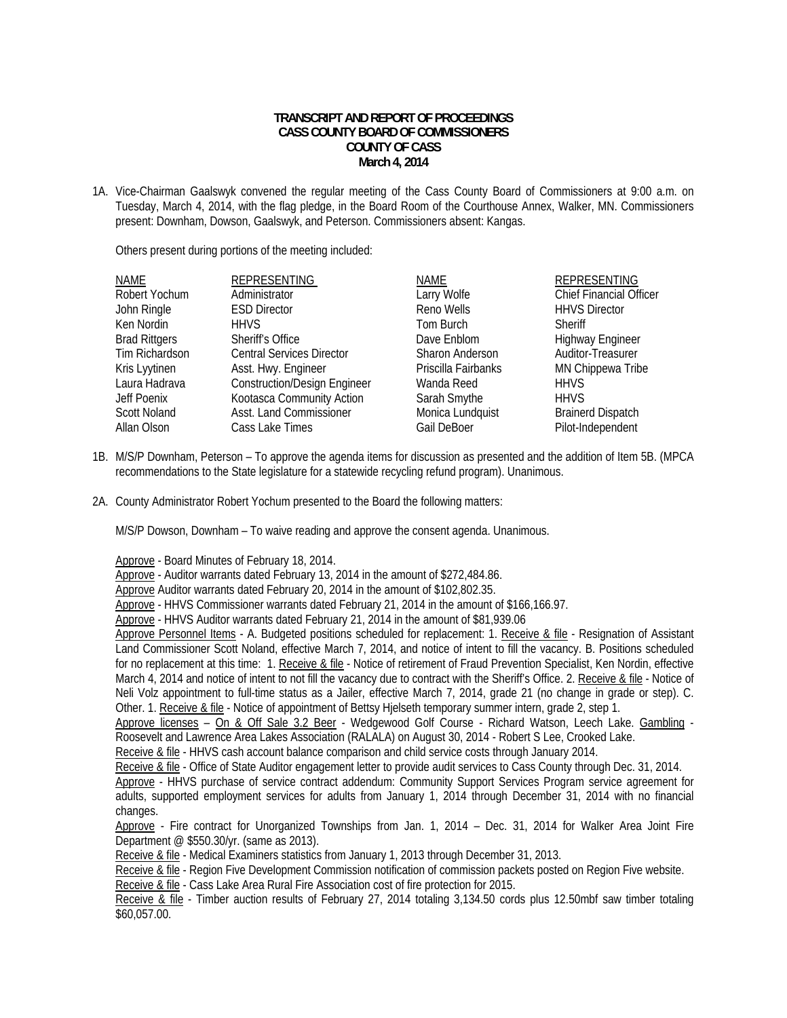## **TRANSCRIPT AND REPORT OF PROCEEDINGS CASS COUNTY BOARD OF COMMISSIONERS COUNTY OF CASS March 4, 2014**

1A. Vice-Chairman Gaalswyk convened the regular meeting of the Cass County Board of Commissioners at 9:00 a.m. on Tuesday, March 4, 2014, with the flag pledge, in the Board Room of the Courthouse Annex, Walker, MN. Commissioners present: Downham, Dowson, Gaalswyk, and Peterson. Commissioners absent: Kangas.

Others present during portions of the meeting included:

| <b>NAME</b>          | <b>REPRESENTING</b>                 | NAME                | <b>REPRESENTING</b>            |
|----------------------|-------------------------------------|---------------------|--------------------------------|
| Robert Yochum        | Administrator                       | Larry Wolfe         | <b>Chief Financial Officer</b> |
| John Ringle          | <b>ESD Director</b>                 | Reno Wells          | <b>HHVS Director</b>           |
| Ken Nordin           | <b>HHVS</b>                         | Tom Burch           | <b>Sheriff</b>                 |
| <b>Brad Rittgers</b> | Sheriff's Office                    | Dave Enblom         | <b>Highway Engineer</b>        |
| Tim Richardson       | <b>Central Services Director</b>    | Sharon Anderson     | Auditor-Treasurer              |
| Kris Lyytinen        | Asst. Hwy. Engineer                 | Priscilla Fairbanks | MN Chippewa Tribe              |
| Laura Hadrava        | <b>Construction/Design Engineer</b> | Wanda Reed          | <b>HHVS</b>                    |
| Jeff Poenix          | Kootasca Community Action           | Sarah Smythe        | <b>HHVS</b>                    |
| <b>Scott Noland</b>  | Asst. Land Commissioner             | Monica Lundquist    | <b>Brainerd Dispatch</b>       |
| Allan Olson          | Cass Lake Times                     | Gail DeBoer         | Pilot-Independent              |
|                      |                                     |                     |                                |

- 1B. M/S/P Downham, Peterson To approve the agenda items for discussion as presented and the addition of Item 5B. (MPCA recommendations to the State legislature for a statewide recycling refund program). Unanimous.
- 2A. County Administrator Robert Yochum presented to the Board the following matters:

M/S/P Dowson, Downham – To waive reading and approve the consent agenda. Unanimous.

Approve - Board Minutes of February 18, 2014.

Approve - Auditor warrants dated February 13, 2014 in the amount of \$272,484.86.

Approve Auditor warrants dated February 20, 2014 in the amount of \$102,802.35.

Approve - HHVS Commissioner warrants dated February 21, 2014 in the amount of \$166,166.97.

Approve - HHVS Auditor warrants dated February 21, 2014 in the amount of \$81,939.06

Approve Personnel Items - A. Budgeted positions scheduled for replacement: 1. Receive & file - Resignation of Assistant Land Commissioner Scott Noland, effective March 7, 2014, and notice of intent to fill the vacancy. B. Positions scheduled for no replacement at this time: 1. Receive & file - Notice of retirement of Fraud Prevention Specialist, Ken Nordin, effective March 4, 2014 and notice of intent to not fill the vacancy due to contract with the Sheriff's Office. 2. Receive & file - Notice of Neli Volz appointment to full-time status as a Jailer, effective March 7, 2014, grade 21 (no change in grade or step). C. Other. 1. Receive & file - Notice of appointment of Bettsy Hielseth temporary summer intern, grade 2, step 1.

 Approve licenses – On & Off Sale 3.2 Beer - Wedgewood Golf Course - Richard Watson, Leech Lake. Gambling - Roosevelt and Lawrence Area Lakes Association (RALALA) on August 30, 2014 - Robert S Lee, Crooked Lake.

Receive & file - HHVS cash account balance comparison and child service costs through January 2014.

Receive & file - Office of State Auditor engagement letter to provide audit services to Cass County through Dec. 31, 2014.

 Approve - HHVS purchase of service contract addendum: Community Support Services Program service agreement for adults, supported employment services for adults from January 1, 2014 through December 31, 2014 with no financial changes.

 Approve - Fire contract for Unorganized Townships from Jan. 1, 2014 – Dec. 31, 2014 for Walker Area Joint Fire Department @ \$550.30/yr. (same as 2013).

Receive & file - Medical Examiners statistics from January 1, 2013 through December 31, 2013.

Receive & file - Region Five Development Commission notification of commission packets posted on Region Five website.

Receive & file - Cass Lake Area Rural Fire Association cost of fire protection for 2015.

Receive & file - Timber auction results of February 27, 2014 totaling 3,134.50 cords plus 12.50mbf saw timber totaling \$60,057.00.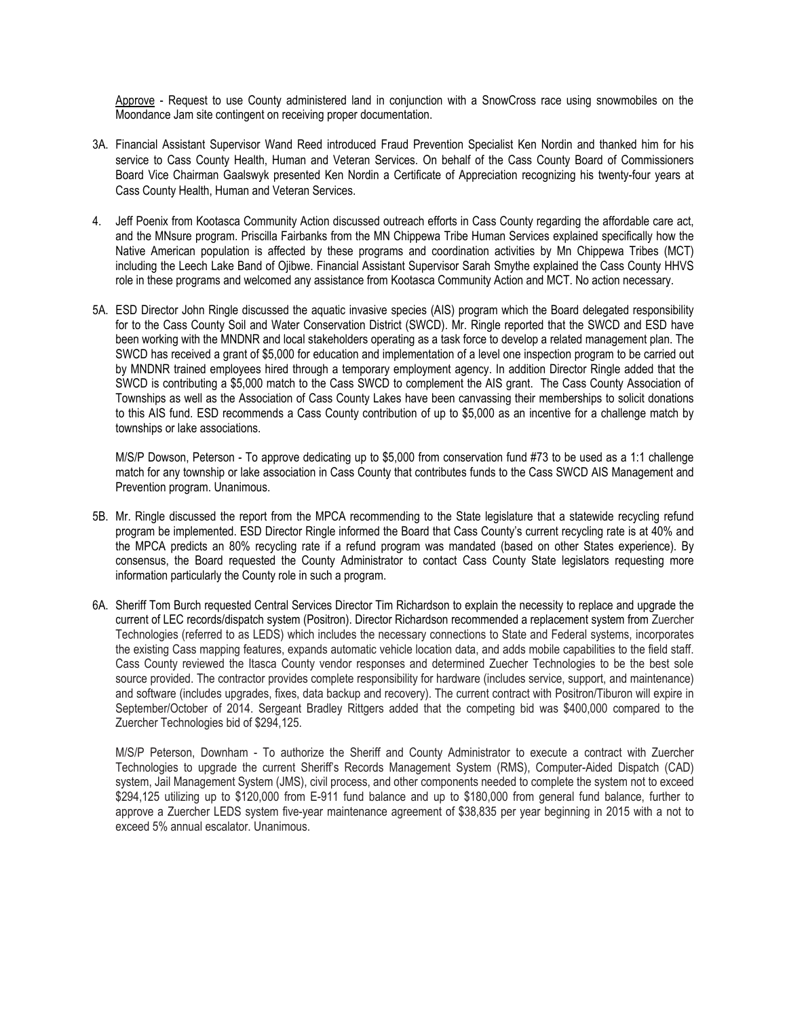Approve - Request to use County administered land in conjunction with a SnowCross race using snowmobiles on the Moondance Jam site contingent on receiving proper documentation.

- 3A. Financial Assistant Supervisor Wand Reed introduced Fraud Prevention Specialist Ken Nordin and thanked him for his service to Cass County Health, Human and Veteran Services. On behalf of the Cass County Board of Commissioners Board Vice Chairman Gaalswyk presented Ken Nordin a Certificate of Appreciation recognizing his twenty-four years at Cass County Health, Human and Veteran Services.
- 4. Jeff Poenix from Kootasca Community Action discussed outreach efforts in Cass County regarding the affordable care act, and the MNsure program. Priscilla Fairbanks from the MN Chippewa Tribe Human Services explained specifically how the Native American population is affected by these programs and coordination activities by Mn Chippewa Tribes (MCT) including the Leech Lake Band of Ojibwe. Financial Assistant Supervisor Sarah Smythe explained the Cass County HHVS role in these programs and welcomed any assistance from Kootasca Community Action and MCT. No action necessary.
- 5A. ESD Director John Ringle discussed the aquatic invasive species (AIS) program which the Board delegated responsibility for to the Cass County Soil and Water Conservation District (SWCD). Mr. Ringle reported that the SWCD and ESD have been working with the MNDNR and local stakeholders operating as a task force to develop a related management plan. The SWCD has received a grant of \$5,000 for education and implementation of a level one inspection program to be carried out by MNDNR trained employees hired through a temporary employment agency. In addition Director Ringle added that the SWCD is contributing a \$5,000 match to the Cass SWCD to complement the AIS grant. The Cass County Association of Townships as well as the Association of Cass County Lakes have been canvassing their memberships to solicit donations to this AIS fund. ESD recommends a Cass County contribution of up to \$5,000 as an incentive for a challenge match by townships or lake associations.

M/S/P Dowson, Peterson - To approve dedicating up to \$5,000 from conservation fund #73 to be used as a 1:1 challenge match for any township or lake association in Cass County that contributes funds to the Cass SWCD AIS Management and Prevention program. Unanimous.

- 5B. Mr. Ringle discussed the report from the MPCA recommending to the State legislature that a statewide recycling refund program be implemented. ESD Director Ringle informed the Board that Cass County's current recycling rate is at 40% and the MPCA predicts an 80% recycling rate if a refund program was mandated (based on other States experience). By consensus, the Board requested the County Administrator to contact Cass County State legislators requesting more information particularly the County role in such a program.
- 6A. Sheriff Tom Burch requested Central Services Director Tim Richardson to explain the necessity to replace and upgrade the current of LEC records/dispatch system (Positron). Director Richardson recommended a replacement system from Zuercher Technologies (referred to as LEDS) which includes the necessary connections to State and Federal systems, incorporates the existing Cass mapping features, expands automatic vehicle location data, and adds mobile capabilities to the field staff. Cass County reviewed the Itasca County vendor responses and determined Zuecher Technologies to be the best sole source provided. The contractor provides complete responsibility for hardware (includes service, support, and maintenance) and software (includes upgrades, fixes, data backup and recovery). The current contract with Positron/Tiburon will expire in September/October of 2014. Sergeant Bradley Rittgers added that the competing bid was \$400,000 compared to the Zuercher Technologies bid of \$294,125.

M/S/P Peterson, Downham - To authorize the Sheriff and County Administrator to execute a contract with Zuercher Technologies to upgrade the current Sheriff's Records Management System (RMS), Computer-Aided Dispatch (CAD) system, Jail Management System (JMS), civil process, and other components needed to complete the system not to exceed \$294,125 utilizing up to \$120,000 from E-911 fund balance and up to \$180,000 from general fund balance, further to approve a Zuercher LEDS system five-year maintenance agreement of \$38,835 per year beginning in 2015 with a not to exceed 5% annual escalator. Unanimous.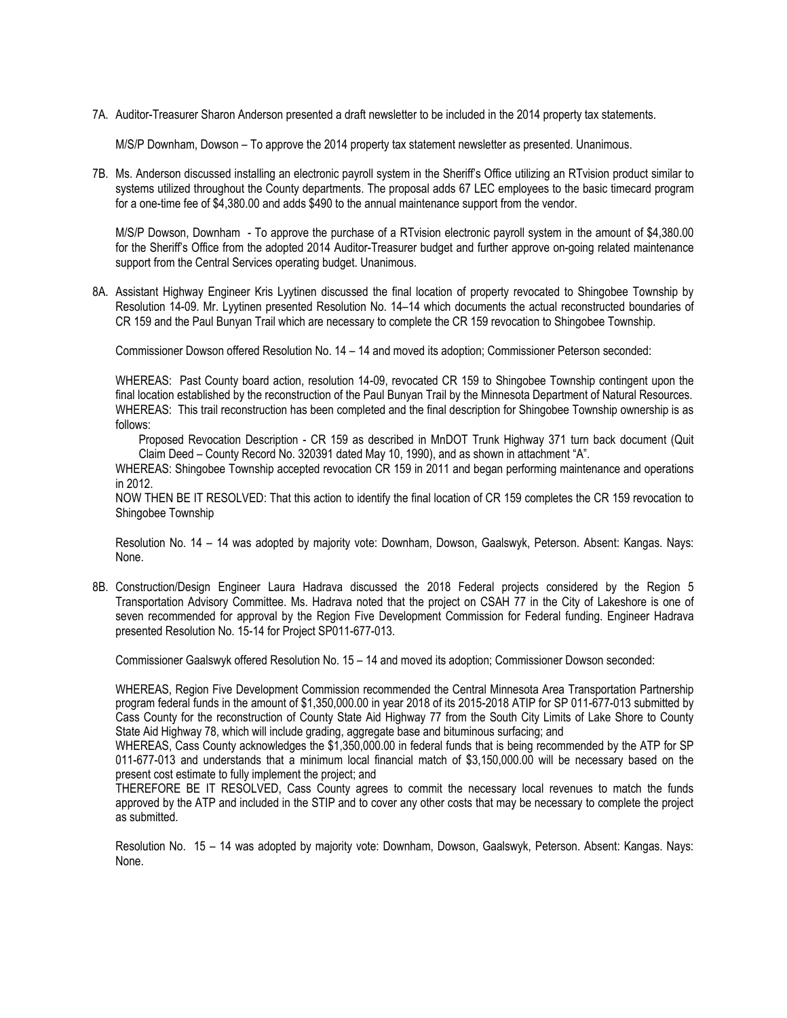7A. Auditor-Treasurer Sharon Anderson presented a draft newsletter to be included in the 2014 property tax statements.

M/S/P Downham, Dowson – To approve the 2014 property tax statement newsletter as presented. Unanimous.

7B. Ms. Anderson discussed installing an electronic payroll system in the Sheriff's Office utilizing an RTvision product similar to systems utilized throughout the County departments. The proposal adds 67 LEC employees to the basic timecard program for a one-time fee of \$4,380.00 and adds \$490 to the annual maintenance support from the vendor.

M/S/P Dowson, Downham - To approve the purchase of a RTvision electronic payroll system in the amount of \$4,380.00 for the Sheriff's Office from the adopted 2014 Auditor-Treasurer budget and further approve on-going related maintenance support from the Central Services operating budget. Unanimous.

8A. Assistant Highway Engineer Kris Lyytinen discussed the final location of property revocated to Shingobee Township by Resolution 14-09. Mr. Lyytinen presented Resolution No. 14–14 which documents the actual reconstructed boundaries of CR 159 and the Paul Bunyan Trail which are necessary to complete the CR 159 revocation to Shingobee Township.

Commissioner Dowson offered Resolution No. 14 – 14 and moved its adoption; Commissioner Peterson seconded:

WHEREAS: Past County board action, resolution 14-09, revocated CR 159 to Shingobee Township contingent upon the final location established by the reconstruction of the Paul Bunyan Trail by the Minnesota Department of Natural Resources. WHEREAS: This trail reconstruction has been completed and the final description for Shingobee Township ownership is as follows:

Proposed Revocation Description - CR 159 as described in MnDOT Trunk Highway 371 turn back document (Quit Claim Deed – County Record No. 320391 dated May 10, 1990), and as shown in attachment "A".

WHEREAS: Shingobee Township accepted revocation CR 159 in 2011 and began performing maintenance and operations in 2012.

NOW THEN BE IT RESOLVED: That this action to identify the final location of CR 159 completes the CR 159 revocation to Shingobee Township

Resolution No. 14 – 14 was adopted by majority vote: Downham, Dowson, Gaalswyk, Peterson. Absent: Kangas. Nays: None.

8B. Construction/Design Engineer Laura Hadrava discussed the 2018 Federal projects considered by the Region 5 Transportation Advisory Committee. Ms. Hadrava noted that the project on CSAH 77 in the City of Lakeshore is one of seven recommended for approval by the Region Five Development Commission for Federal funding. Engineer Hadrava presented Resolution No. 15-14 for Project SP011-677-013.

Commissioner Gaalswyk offered Resolution No. 15 – 14 and moved its adoption; Commissioner Dowson seconded:

WHEREAS, Region Five Development Commission recommended the Central Minnesota Area Transportation Partnership program federal funds in the amount of \$1,350,000.00 in year 2018 of its 2015-2018 ATIP for SP 011-677-013 submitted by Cass County for the reconstruction of County State Aid Highway 77 from the South City Limits of Lake Shore to County State Aid Highway 78, which will include grading, aggregate base and bituminous surfacing; and

WHEREAS, Cass County acknowledges the \$1,350,000.00 in federal funds that is being recommended by the ATP for SP 011-677-013 and understands that a minimum local financial match of \$3,150,000.00 will be necessary based on the present cost estimate to fully implement the project; and

THEREFORE BE IT RESOLVED, Cass County agrees to commit the necessary local revenues to match the funds approved by the ATP and included in the STIP and to cover any other costs that may be necessary to complete the project as submitted.

Resolution No. 15 – 14 was adopted by majority vote: Downham, Dowson, Gaalswyk, Peterson. Absent: Kangas. Nays: None.